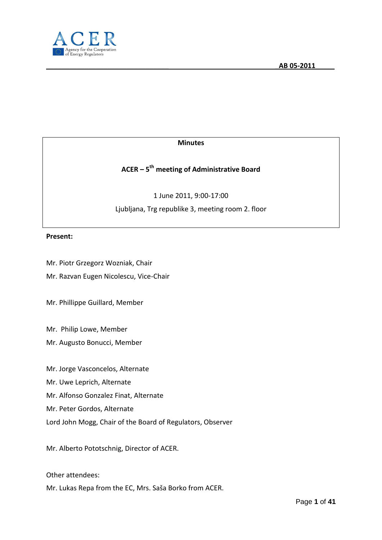

#### **Minutes**

# **ACER – 5 th meeting of Administrative Board**

1 June 2011, 9:00-17:00 Ljubljana, Trg republike 3, meeting room 2. floor

#### **Present:**

Mr. Piotr Grzegorz Wozniak, Chair

Mr. Razvan Eugen Nicolescu, Vice-Chair

Mr. Phillippe Guillard, Member

Mr. Philip Lowe, Member

Mr. Augusto Bonucci, Member

Mr. Jorge Vasconcelos, Alternate

Mr. Uwe Leprich, Alternate

Mr. Alfonso Gonzalez Finat, Alternate

Mr. Peter Gordos, Alternate

Lord John Mogg, Chair of the Board of Regulators, Observer

Mr. Alberto Pototschnig, Director of ACER.

Other attendees:

Mr. Lukas Repa from the EC, Mrs. Saša Borko from ACER.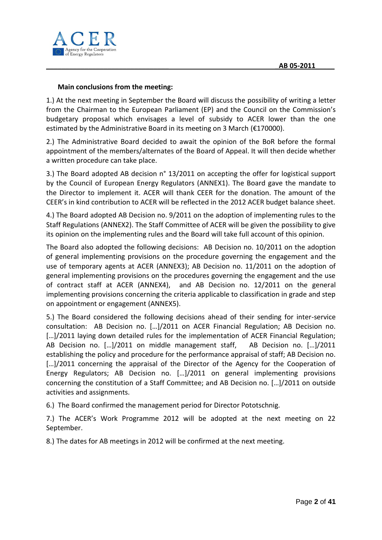

#### **Main conclusions from the meeting:**

1.) At the next meeting in September the Board will discuss the possibility of writing a letter from the Chairman to the European Parliament (EP) and the Council on the Commission's budgetary proposal which envisages a level of subsidy to ACER lower than the one estimated by the Administrative Board in its meeting on 3 March (€170000).

2.) The Administrative Board decided to await the opinion of the BoR before the formal appointment of the members/alternates of the Board of Appeal. It will then decide whether a written procedure can take place.

3.) The Board adopted AB decision n° 13/2011 on accepting the offer for logistical support by the Council of European Energy Regulators (ANNEX1). The Board gave the mandate to the Director to implement it. ACER will thank CEER for the donation. The amount of the CEER's in kind contribution to ACER will be reflected in the 2012 ACER budget balance sheet.

4.) The Board adopted AB Decision no. 9/2011 on the adoption of implementing rules to the Staff Regulations (ANNEX2). The Staff Committee of ACER will be given the possibility to give its opinion on the implementing rules and the Board will take full account of this opinion.

The Board also adopted the following decisions: AB Decision no. 10/2011 on the adoption of general implementing provisions on the procedure governing the engagement and the use of temporary agents at ACER (ANNEX3); AB Decision no. 11/2011 on the adoption of general implementing provisions on the procedures governing the engagement and the use of contract staff at ACER (ANNEX4), and AB Decision no. 12/2011 on the general implementing provisions concerning the criteria applicable to classification in grade and step on appointment or engagement (ANNEX5).

5.) The Board considered the following decisions ahead of their sending for inter-service consultation: AB Decision no.  $[...]/2011$  on ACER Financial Regulation; AB Decision no. [...]/2011 laying down detailed rules for the implementation of ACER Financial Regulation; AB Decision no.  $[...]$ /2011 on middle management staff, AB Decision no.  $[...]$ /2011 establishing the policy and procedure for the performance appraisal of staff; AB Decision no. [...]/2011 concerning the appraisal of the Director of the Agency for the Cooperation of Energy Regulators; AB Decision no. [...]/2011 on general implementing provisions concerning the constitution of a Staff Committee; and AB Decision no. [...]/2011 on outside activities and assignments.

6.) The Board confirmed the management period for Director Pototschnig.

7.) The ACER's Work Programme 2012 will be adopted at the next meeting on 22 September.

8.) The dates for AB meetings in 2012 will be confirmed at the next meeting.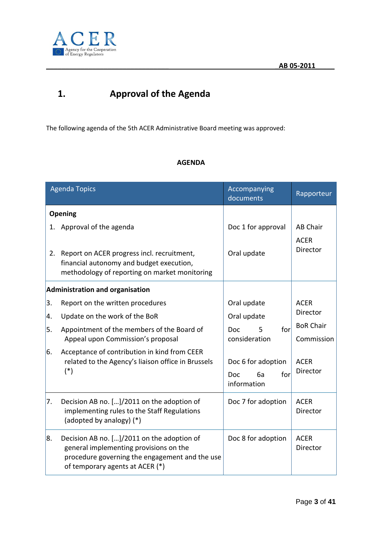

# **1. Approval of the Agenda**

The following agenda of the 5th ACER Administrative Board meeting was approved:

### **AGENDA**

| <b>Agenda Topics</b> |                                                                                                                                                                           | Accompanying<br>documents                                    | Rapporteur                     |
|----------------------|---------------------------------------------------------------------------------------------------------------------------------------------------------------------------|--------------------------------------------------------------|--------------------------------|
|                      | Opening                                                                                                                                                                   |                                                              |                                |
|                      | 1. Approval of the agenda                                                                                                                                                 | Doc 1 for approval                                           | <b>AB Chair</b>                |
| 2.                   | Report on ACER progress incl. recruitment,<br>financial autonomy and budget execution,<br>methodology of reporting on market monitoring                                   | Oral update                                                  | <b>ACER</b><br>Director        |
|                      | <b>Administration and organisation</b>                                                                                                                                    |                                                              |                                |
| 3.                   | Report on the written procedures                                                                                                                                          | Oral update                                                  | <b>ACER</b>                    |
| 4.                   | Update on the work of the BoR                                                                                                                                             | Oral update                                                  | Director                       |
| 5.                   | Appointment of the members of the Board of<br>Appeal upon Commission's proposal                                                                                           | for<br><b>Doc</b><br>5<br>consideration                      | <b>BoR Chair</b><br>Commission |
| 6.                   | Acceptance of contribution in kind from CEER<br>related to the Agency's liaison office in Brussels<br>$(*)$                                                               | Doc 6 for adoption<br><b>Doc</b><br>6a<br>for<br>information | <b>ACER</b><br>Director        |
| 7.                   | Decision AB no. []/2011 on the adoption of<br>implementing rules to the Staff Regulations<br>(adopted by analogy) (*)                                                     | Doc 7 for adoption                                           | <b>ACER</b><br>Director        |
| 8.                   | Decision AB no. []/2011 on the adoption of<br>general implementing provisions on the<br>procedure governing the engagement and the use<br>of temporary agents at ACER (*) | Doc 8 for adoption                                           | <b>ACER</b><br>Director        |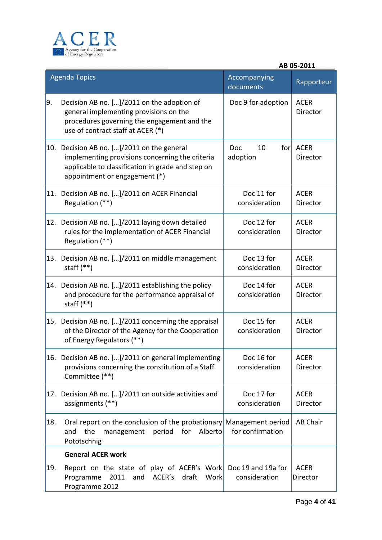

|            |                                                                                                                                                                                     |                                     | AB 05-2011                     |  |
|------------|-------------------------------------------------------------------------------------------------------------------------------------------------------------------------------------|-------------------------------------|--------------------------------|--|
|            | <b>Agenda Topics</b>                                                                                                                                                                | Accompanying<br>documents           | Rapporteur                     |  |
| 9.         | Decision AB no. []/2011 on the adoption of<br>general implementing provisions on the<br>procedures governing the engagement and the<br>use of contract staff at ACER (*)            | Doc 9 for adoption                  | <b>ACER</b><br>Director        |  |
|            | 10. Decision AB no. []/2011 on the general<br>implementing provisions concerning the criteria<br>applicable to classification in grade and step on<br>appointment or engagement (*) | 10<br>forl<br>Doc<br>adoption       | <b>ACER</b><br>Director        |  |
|            | 11. Decision AB no. []/2011 on ACER Financial<br>Regulation (**)                                                                                                                    | Doc 11 for<br>consideration         | <b>ACER</b><br><b>Director</b> |  |
|            | 12. Decision AB no. []/2011 laying down detailed<br>rules for the implementation of ACER Financial<br>Regulation (**)                                                               | Doc 12 for<br>consideration         | <b>ACER</b><br><b>Director</b> |  |
|            | 13. Decision AB no. []/2011 on middle management<br>staff $(**)$                                                                                                                    | Doc 13 for<br>consideration         | <b>ACER</b><br>Director        |  |
|            | 14. Decision AB no. []/2011 establishing the policy<br>and procedure for the performance appraisal of<br>staff $(**)$                                                               | Doc 14 for<br>consideration         | <b>ACER</b><br>Director        |  |
|            | 15. Decision AB no. []/2011 concerning the appraisal<br>of the Director of the Agency for the Cooperation<br>of Energy Regulators (**)                                              | Doc 15 for<br>consideration         | <b>ACER</b><br>Director        |  |
|            | 16. Decision AB no. []/2011 on general implementing<br>provisions concerning the constitution of a Staff<br>Committee (**)                                                          | Doc 16 for<br>consideration         | <b>ACER</b><br>Director        |  |
|            | 17. Decision AB no. []/2011 on outside activities and<br>assignments (**)                                                                                                           | Doc 17 for<br>consideration         | <b>ACER</b><br>Director        |  |
| 18.        | Oral report on the conclusion of the probationary Management period<br>the<br>for<br>Alberto<br>management<br>period<br>and<br>Pototschnig                                          | for confirmation                    | <b>AB Chair</b>                |  |
|            | <b>General ACER work</b>                                                                                                                                                            |                                     |                                |  |
| <b>19.</b> | Report on the state of play of ACER's Work<br>2011<br>and<br>ACER's draft<br><b>Work</b><br>Programme<br>Programme 2012                                                             | Doc 19 and 19a for<br>consideration | <b>ACER</b><br>Director        |  |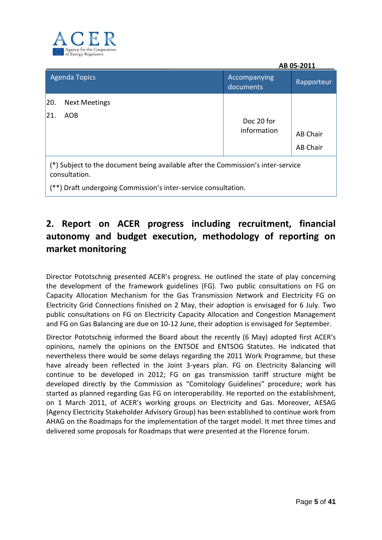

| AB 05-2011                                                                                        |                           |                                    |  |
|---------------------------------------------------------------------------------------------------|---------------------------|------------------------------------|--|
| <b>Agenda Topics</b>                                                                              | Accompanying<br>documents | Rapporteur                         |  |
| 20.<br><b>Next Meetings</b><br>21.<br><b>AOB</b>                                                  | Doc 20 for<br>information | <b>AB Chair</b><br><b>AB Chair</b> |  |
| (*) Subject to the document being available after the Commission's inter-service<br>consultation. |                           |                                    |  |

(\*\*) Draft undergoing Commission's inter-service consultation.

# **2. Report on ACER progress including recruitment, financial autonomy and budget execution, methodology of reporting on market monitoring**

Director Pototschnig presented ACER's progress. He outlined the state of play concerning the development of the framework guidelines (FG). Two public consultations on FG on Capacity Allocation Mechanism for the Gas Transmission Network and Electricity FG on Electricity Grid Connections finished on 2 May, their adoption is envisaged for 6 July. Two public consultations on FG on Electricity Capacity Allocation and Congestion Management and FG on Gas Balancing are due on 10-12 June, their adoption is envisaged for September.

Director Pototschnig informed the Board about the recently (6 May) adopted first ACER's opinions, namely the opinions on the ENTSOE and ENTSOG Statutes. He indicated that nevertheless there would be some delays regarding the 2011 Work Programme, but these have already been reflected in the Joint 3-years plan. FG on Electricity Balancing will continue to be developed in 2012; FG on gas transmission tariff structure might be developed directly by the Commission as "Comitology Guidelines" procedure; work has started as planned regarding Gas FG on interoperability. He reported on the establishment, on 1 March 2011, of ACER's working groups on Electricity and Gas. Moreover, AESAG (Agency Electricity Stakeholder Advisory Group) has been established to continue work from AHAG on the Roadmaps for the implementation of the target model. It met three times and delivered some proposals for Roadmaps that were presented at the Florence forum.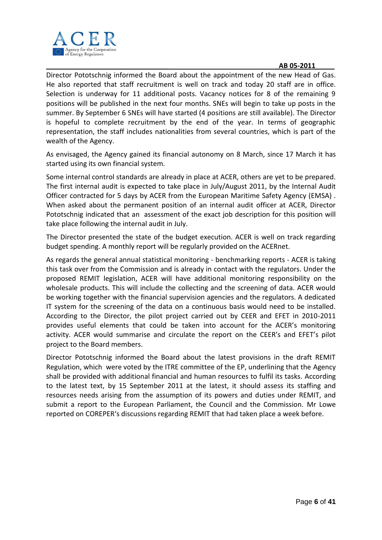

Director Pototschnig informed the Board about the appointment of the new Head of Gas. He also reported that staff recruitment is well on track and today 20 staff are in office. Selection is underway for 11 additional posts. Vacancy notices for 8 of the remaining 9 positions will be published in the next four months. SNEs will begin to take up posts in the summer. By September 6 SNEs will have started (4 positions are still available). The Director is hopeful to complete recruitment by the end of the year. In terms of geographic representation, the staff includes nationalities from several countries, which is part of the wealth of the Agency.

As envisaged, the Agency gained its financial autonomy on 8 March, since 17 March it has started using its own financial system.

Some internal control standards are already in place at ACER, others are yet to be prepared. The first internal audit is expected to take place in July/August 2011, by the Internal Audit Officer contracted for 5 days by ACER from the European Maritime Safety Agency (EMSA) . When asked about the permanent position of an internal audit officer at ACER, Director Pototschnig indicated that an assessment of the exact job description for this position will take place following the internal audit in July.

The Director presented the state of the budget execution. ACER is well on track regarding budget spending. A monthly report will be regularly provided on the ACERnet.

As regards the general annual statistical monitoring - benchmarking reports - ACER is taking this task over from the Commission and is already in contact with the regulators. Under the proposed REMIT legislation, ACER will have additional monitoring responsibility on the wholesale products. This will include the collecting and the screening of data. ACER would be working together with the financial supervision agencies and the regulators. A dedicated IT system for the screening of the data on a continuous basis would need to be installed. According to the Director, the pilot project carried out by CEER and EFET in 2010-2011 provides useful elements that could be taken into account for the ACER's monitoring activity. ACER would summarise and circulate the report on the CEER's and EFET's pilot project to the Board members.

Director Pototschnig informed the Board about the latest provisions in the draft REMIT Regulation, which were voted by the ITRE committee of the EP, underlining that the Agency shall be provided with additional financial and human resources to fulfil its tasks. According to the latest text, by 15 September 2011 at the latest, it should assess its staffing and resources needs arising from the assumption of its powers and duties under REMIT, and submit a report to the European Parliament, the Council and the Commission. Mr Lowe reported on COREPER's discussions regarding REMIT that had taken place a week before.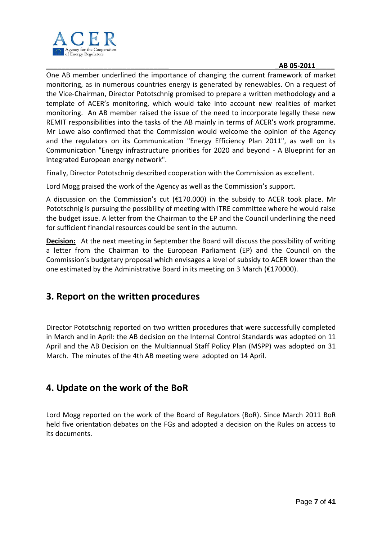

One AB member underlined the importance of changing the current framework of market monitoring, as in numerous countries energy is generated by renewables. On a request of the Vice-Chairman, Director Pototschnig promised to prepare a written methodology and a template of ACER's monitoring, which would take into account new realities of market monitoring. An AB member raised the issue of the need to incorporate legally these new REMIT responsibilities into the tasks of the AB mainly in terms of ACER's work programme. Mr Lowe also confirmed that the Commission would welcome the opinion of the Agency and the regulators on its Communication "Energy Efficiency Plan 2011", as well on its Communication "Energy infrastructure priorities for 2020 and beyond - A Blueprint for an integrated European energy network".

Finally, Director Pototschnig described cooperation with the Commission as excellent.

Lord Mogg praised the work of the Agency as well as the Commission's support.

A discussion on the Commission's cut (€170.000) in the subsidy to ACER took place. Mr Pototschnig is pursuing the possibility of meeting with ITRE committee where he would raise the budget issue. A letter from the Chairman to the EP and the Council underlining the need for sufficient financial resources could be sent in the autumn.

**Decision:** At the next meeting in September the Board will discuss the possibility of writing a letter from the Chairman to the European Parliament (EP) and the Council on the Commission's budgetary proposal which envisages a level of subsidy to ACER lower than the one estimated by the Administrative Board in its meeting on 3 March (€170000).

# **3. Report on the written procedures**

Director Pototschnig reported on two written procedures that were successfully completed in March and in April: the AB decision on the Internal Control Standards was adopted on 11 April and the AB Decision on the Multiannual Staff Policy Plan (MSPP) was adopted on 31 March. The minutes of the 4th AB meeting were adopted on 14 April.

# **4. Update on the work of the BoR**

Lord Mogg reported on the work of the Board of Regulators (BoR). Since March 2011 BoR held five orientation debates on the FGs and adopted a decision on the Rules on access to its documents.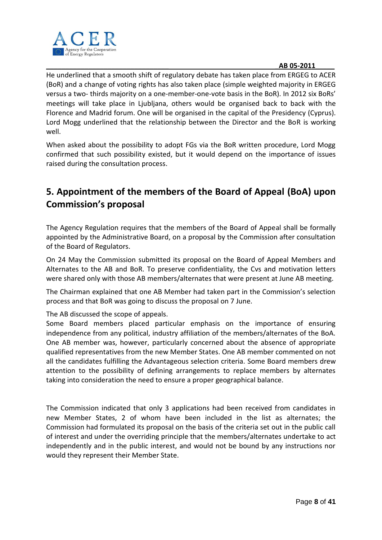

He underlined that a smooth shift of regulatory debate has taken place from ERGEG to ACER (BoR) and a change of voting rights has also taken place (simple weighted majority in ERGEG versus a two- thirds majority on a one-member-one-vote basis in the BoR). In 2012 six BoRs' meetings will take place in Ljubljana, others would be organised back to back with the Florence and Madrid forum. One will be organised in the capital of the Presidency (Cyprus). Lord Mogg underlined that the relationship between the Director and the BoR is working well.

When asked about the possibility to adopt FGs via the BoR written procedure, Lord Mogg confirmed that such possibility existed, but it would depend on the importance of issues raised during the consultation process.

# **5. Appointment of the members of the Board of Appeal (BoA) upon Commission's proposal**

The Agency Regulation requires that the members of the Board of Appeal shall be formally appointed by the Administrative Board, on a proposal by the Commission after consultation of the Board of Regulators.

On 24 May the Commission submitted its proposal on the Board of Appeal Members and Alternates to the AB and BoR. To preserve confidentiality, the Cvs and motivation letters were shared only with those AB members/alternates that were present at June AB meeting.

The Chairman explained that one AB Member had taken part in the Commission's selection process and that BoR was going to discuss the proposal on 7 June.

### The AB discussed the scope of appeals.

Some Board members placed particular emphasis on the importance of ensuring independence from any political, industry affiliation of the members/alternates of the BoA. One AB member was, however, particularly concerned about the absence of appropriate qualified representatives from the new Member States. One AB member commented on not all the candidates fulfilling the Advantageous selection criteria. Some Board members drew attention to the possibility of defining arrangements to replace members by alternates taking into consideration the need to ensure a proper geographical balance.

The Commission indicated that only 3 applications had been received from candidates in new Member States, 2 of whom have been included in the list as alternates; the Commission had formulated its proposal on the basis of the criteria set out in the public call of interest and under the overriding principle that the members/alternates undertake to act independently and in the public interest, and would not be bound by any instructions nor would they represent their Member State.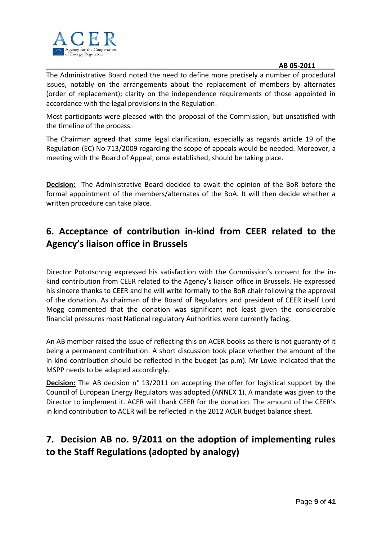

The Administrative Board noted the need to define more precisely a number of procedural issues, notably on the arrangements about the replacement of members by alternates (order of replacement); clarity on the independence requirements of those appointed in accordance with the legal provisions in the Regulation.

Most participants were pleased with the proposal of the Commission, but unsatisfied with the timeline of the process.

The Chairman agreed that some legal clarification, especially as regards article 19 of the Regulation (EC) No 713/2009 regarding the scope of appeals would be needed. Moreover, a meeting with the Board of Appeal, once established, should be taking place.

**Decision:** The Administrative Board decided to await the opinion of the BoR before the formal appointment of the members/alternates of the BoA. It will then decide whether a written procedure can take place.

# **6. Acceptance of contribution in-kind from CEER related to the Agency's liaison office in Brussels**

Director Pototschnig expressed his satisfaction with the Commission's consent for the inkind contribution from CEER related to the Agency's liaison office in Brussels. He expressed his sincere thanks to CEER and he will write formally to the BoR chair following the approval of the donation. As chairman of the Board of Regulators and president of CEER itself Lord Mogg commented that the donation was significant not least given the considerable financial pressures most National regulatory Authorities were currently facing.

An AB member raised the issue of reflecting this on ACER books as there is not guaranty of it being a permanent contribution. A short discussion took place whether the amount of the in-kind contribution should be reflected in the budget (as p.m). Mr Lowe indicated that the MSPP needs to be adapted accordingly.

**Decision:** The AB decision n° 13/2011 on accepting the offer for logistical support by the Council of European Energy Regulators was adopted (ANNEX 1). A mandate was given to the Director to implement it. ACER will thank CEER for the donation. The amount of the CEER's in kind contribution to ACER will be reflected in the 2012 ACER budget balance sheet.

# **7. Decision AB no. 9/2011 on the adoption of implementing rules to the Staff Regulations (adopted by analogy)**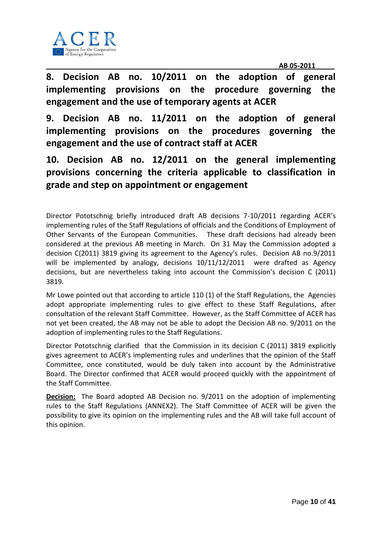

**8. Decision AB no. 10/2011 on the adoption of general implementing provisions on the procedure governing the engagement and the use of temporary agents at ACER**

**9. Decision AB no. 11/2011 on the adoption of general implementing provisions on the procedures governing the engagement and the use of contract staff at ACER** 

**10. Decision AB no. 12/2011 on the general implementing provisions concerning the criteria applicable to classification in grade and step on appointment or engagement**

Director Pototschnig briefly introduced draft AB decisions 7-10/2011 regarding ACER's implementing rules of the Staff Regulations of officials and the Conditions of Employment of Other Servants of the European Communities. These draft decisions had already been considered at the previous AB meeting in March. On 31 May the Commission adopted a decision C(2011) 3819 giving its agreement to the Agency's rules. Decision AB no.9/2011 will be implemented by analogy, decisions 10/11/12/2011 were drafted as Agency decisions, but are nevertheless taking into account the Commission's decision C (2011) 3819.

Mr Lowe pointed out that according to article 110 (1) of the Staff Regulations, the Agencies adopt appropriate implementing rules to give effect to these Staff Regulations, after consultation of the relevant Staff Committee. However, as the Staff Committee of ACER has not yet been created, the AB may not be able to adopt the Decision AB no. 9/2011 on the adoption of implementing rules to the Staff Regulations.

Director Pototschnig clarified that the Commission in its decision C (2011) 3819 explicitly gives agreement to ACER's implementing rules and underlines that the opinion of the Staff Committee, once constituted, would be duly taken into account by the Administrative Board. The Director confirmed that ACER would proceed quickly with the appointment of the Staff Committee.

**Decision:** The Board adopted AB Decision no. 9/2011 on the adoption of implementing rules to the Staff Regulations (ANNEX2). The Staff Committee of ACER will be given the possibility to give its opinion on the implementing rules and the AB will take full account of this opinion.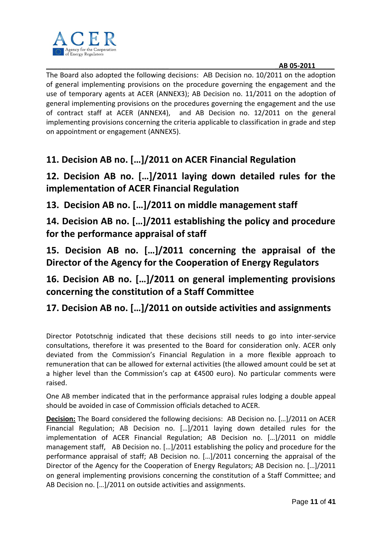

The Board also adopted the following decisions: AB Decision no. 10/2011 on the adoption of general implementing provisions on the procedure governing the engagement and the use of temporary agents at ACER (ANNEX3); AB Decision no. 11/2011 on the adoption of general implementing provisions on the procedures governing the engagement and the use of contract staff at ACER (ANNEX4), and AB Decision no. 12/2011 on the general implementing provisions concerning the criteria applicable to classification in grade and step on appointment or engagement (ANNEX5).

# **11. Decision AB no. […]/2011 on ACER Financial Regulation**

# **12. Decision AB no. […]/2011 laying down detailed rules for the implementation of ACER Financial Regulation**

**13. Decision AB no. […]/2011 on middle management staff** 

**14. Decision AB no. […]/2011 establishing the policy and procedure for the performance appraisal of staff** 

**15. Decision AB no. […]/2011 concerning the appraisal of the Director of the Agency for the Cooperation of Energy Regulators** 

# **16. Decision AB no. […]/2011 on general implementing provisions concerning the constitution of a Staff Committee**

# **17. Decision AB no. […]/2011 on outside activities and assignments**

Director Pototschnig indicated that these decisions still needs to go into inter-service consultations, therefore it was presented to the Board for consideration only. ACER only deviated from the Commission's Financial Regulation in a more flexible approach to remuneration that can be allowed for external activities (the allowed amount could be set at a higher level than the Commission's cap at €4500 euro). No particular comments were raised.

One AB member indicated that in the performance appraisal rules lodging a double appeal should be avoided in case of Commission officials detached to ACER.

**Decision:** The Board considered the following decisions: AB Decision no. [...]/2011 on ACER Financial Regulation; AB Decision no.  $[...]/2011$  laying down detailed rules for the implementation of ACER Financial Regulation; AB Decision no. [...]/2011 on middle management staff. AB Decision no.  $[...]$ /2011 establishing the policy and procedure for the performance appraisal of staff; AB Decision no.  $[...]/2011$  concerning the appraisal of the Director of the Agency for the Cooperation of Energy Regulators; AB Decision no. [...]/2011 on general implementing provisions concerning the constitution of a Staff Committee; and AB Decision no. [...]/2011 on outside activities and assignments.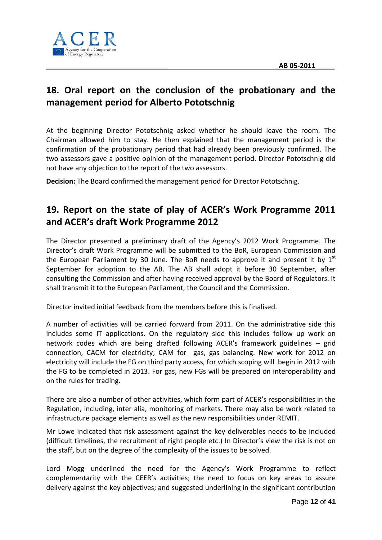

# **18. Oral report on the conclusion of the probationary and the management period for Alberto Pototschnig**

At the beginning Director Pototschnig asked whether he should leave the room. The Chairman allowed him to stay. He then explained that the management period is the confirmation of the probationary period that had already been previously confirmed. The two assessors gave a positive opinion of the management period. Director Pototschnig did not have any objection to the report of the two assessors.

**Decision:** The Board confirmed the management period for Director Pototschnig.

# **19. Report on the state of play of ACER's Work Programme 2011 and ACER's draft Work Programme 2012**

The Director presented a preliminary draft of the Agency's 2012 Work Programme. The Director's draft Work Programme will be submitted to the BoR, European Commission and the European Parliament by 30 June. The BoR needs to approve it and present it by  $1<sup>st</sup>$ September for adoption to the AB. The AB shall adopt it before 30 September, after consulting the Commission and after having received approval by the Board of Regulators. It shall transmit it to the European Parliament, the Council and the Commission.

Director invited initial feedback from the members before this is finalised.

A number of activities will be carried forward from 2011. On the administrative side this includes some IT applications. On the regulatory side this includes follow up work on network codes which are being drafted following ACER's framework guidelines – grid connection, CACM for electricity; CAM for gas, gas balancing. New work for 2012 on electricity will include the FG on third party access, for which scoping will begin in 2012 with the FG to be completed in 2013. For gas, new FGs will be prepared on interoperability and on the rules for trading.

There are also a number of other activities, which form part of ACER's responsibilities in the Regulation, including, inter alia, monitoring of markets. There may also be work related to infrastructure package elements as well as the new responsibilities under REMIT.

Mr Lowe indicated that risk assessment against the key deliverables needs to be included (difficult timelines, the recruitment of right people etc.) In Director's view the risk is not on the staff, but on the degree of the complexity of the issues to be solved.

Lord Mogg underlined the need for the Agency's Work Programme to reflect complementarity with the CEER's activities; the need to focus on key areas to assure delivery against the key objectives; and suggested underlining in the significant contribution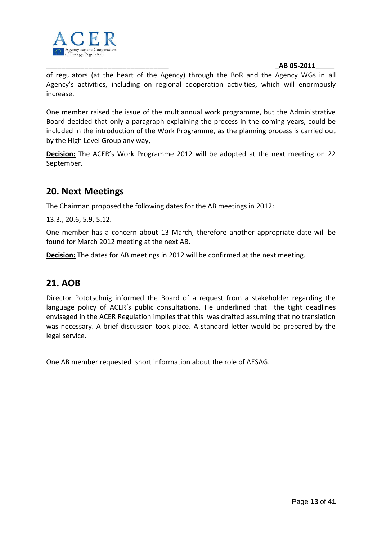

of regulators (at the heart of the Agency) through the BoR and the Agency WGs in all Agency's activities, including on regional cooperation activities, which will enormously increase.

One member raised the issue of the multiannual work programme, but the Administrative Board decided that only a paragraph explaining the process in the coming years, could be included in the introduction of the Work Programme, as the planning process is carried out by the High Level Group any way,

**Decision:** The ACER's Work Programme 2012 will be adopted at the next meeting on 22 September.

# **20. Next Meetings**

The Chairman proposed the following dates for the AB meetings in 2012:

13.3., 20.6, 5.9, 5.12.

One member has a concern about 13 March, therefore another appropriate date will be found for March 2012 meeting at the next AB.

**Decision:** The dates for AB meetings in 2012 will be confirmed at the next meeting.

# **21. AOB**

Director Pototschnig informed the Board of a request from a stakeholder regarding the language policy of ACER's public consultations. He underlined that the tight deadlines envisaged in the ACER Regulation implies that this was drafted assuming that no translation was necessary. A brief discussion took place. A standard letter would be prepared by the legal service.

One AB member requested short information about the role of AESAG.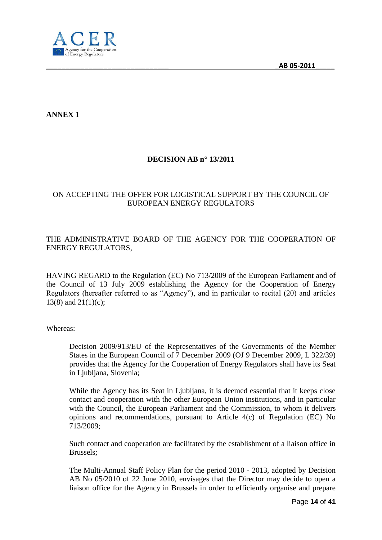

**ANNEX 1**

# **DECISION AB n° 13/2011**

## ON ACCEPTING THE OFFER FOR LOGISTICAL SUPPORT BY THE COUNCIL OF EUROPEAN ENERGY REGULATORS

### THE ADMINISTRATIVE BOARD OF THE AGENCY FOR THE COOPERATION OF ENERGY REGULATORS,

HAVING REGARD to the Regulation (EC) No 713/2009 of the European Parliament and of the Council of 13 July 2009 establishing the Agency for the Cooperation of Energy Regulators (hereafter referred to as "Agency"), and in particular to recital (20) and articles 13(8) and  $21(1)(c)$ ;

Whereas:

Decision 2009/913/EU of the Representatives of the Governments of the Member States in the European Council of 7 December 2009 (OJ 9 December 2009, L 322/39) provides that the Agency for the Cooperation of Energy Regulators shall have its Seat in Ljubljana, Slovenia;

While the Agency has its Seat in Ljubljana, it is deemed essential that it keeps close contact and cooperation with the other European Union institutions, and in particular with the Council, the European Parliament and the Commission, to whom it delivers opinions and recommendations, pursuant to Article 4(c) of Regulation (EC) No 713/2009;

Such contact and cooperation are facilitated by the establishment of a liaison office in Brussels;

The Multi-Annual Staff Policy Plan for the period 2010 - 2013, adopted by Decision AB No 05/2010 of 22 June 2010, envisages that the Director may decide to open a liaison office for the Agency in Brussels in order to efficiently organise and prepare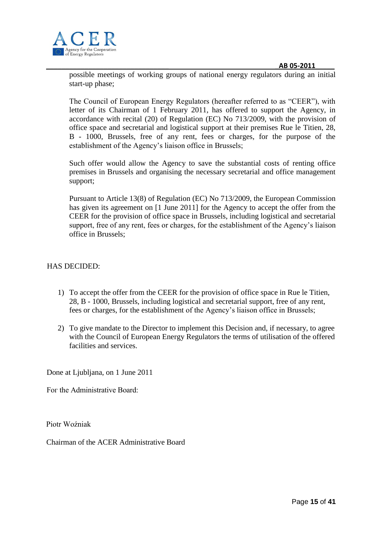



possible meetings of working groups of national energy regulators during an initial start-up phase;

The Council of European Energy Regulators (hereafter referred to as "CEER"), with letter of its Chairman of 1 February 2011, has offered to support the Agency, in accordance with recital (20) of Regulation (EC) No 713/2009, with the provision of office space and secretarial and logistical support at their premises Rue le Titien, 28, B - 1000, Brussels, free of any rent, fees or charges, for the purpose of the establishment of the Agency's liaison office in Brussels;

Such offer would allow the Agency to save the substantial costs of renting office premises in Brussels and organising the necessary secretarial and office management support;

Pursuant to Article 13(8) of Regulation (EC) No 713/2009, the European Commission has given its agreement on [1 June 2011] for the Agency to accept the offer from the CEER for the provision of office space in Brussels, including logistical and secretarial support, free of any rent, fees or charges, for the establishment of the Agency's liaison office in Brussels;

#### HAS DECIDED:

- 1) To accept the offer from the CEER for the provision of office space in Rue le Titien, 28, B - 1000, Brussels, including logistical and secretarial support, free of any rent, fees or charges, for the establishment of the Agency's liaison office in Brussels;
- 2) To give mandate to the Director to implement this Decision and, if necessary, to agree with the Council of European Energy Regulators the terms of utilisation of the offered facilities and services.

Done at Ljubljana, on 1 June 2011

Fог the Administrative Board:

Piotr Woźniak

Chairman of the ACER Administrative Board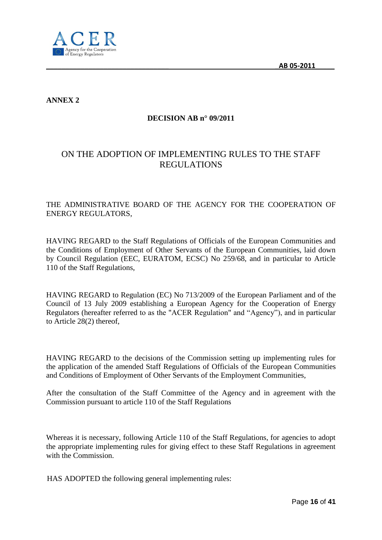

**ANNEX 2**

# **DECISION AB n° 09/2011**

# ON THE ADOPTION OF IMPLEMENTING RULES TO THE STAFF REGULATIONS

### THE ADMINISTRATIVE BOARD OF THE AGENCY FOR THE COOPERATION OF ENERGY REGULATORS,

HAVING REGARD to the Staff Regulations of Officials of the European Communities and the Conditions of Employment of Other Servants of the European Communities, laid down by Council Regulation (EEC, EURATOM, ECSC) No 259/68, and in particular to Article 110 of the Staff Regulations,

HAVING REGARD to Regulation (EC) No 713/2009 of the European Parliament and of the Council of 13 July 2009 establishing a European Agency for the Cooperation of Energy Regulators (hereafter referred to as the "ACER Regulation" and "Agency"), and in particular to Article 28(2) thereof,

HAVING REGARD to the decisions of the Commission setting up implementing rules for the application of the amended Staff Regulations of Officials of the European Communities and Conditions of Employment of Other Servants of the Employment Communities,

After the consultation of the Staff Committee of the Agency and in agreement with the Commission pursuant to article 110 of the Staff Regulations

Whereas it is necessary, following Article 110 of the Staff Regulations, for agencies to adopt the appropriate implementing rules for giving effect to these Staff Regulations in agreement with the Commission.

HAS ADOPTED the following general implementing rules: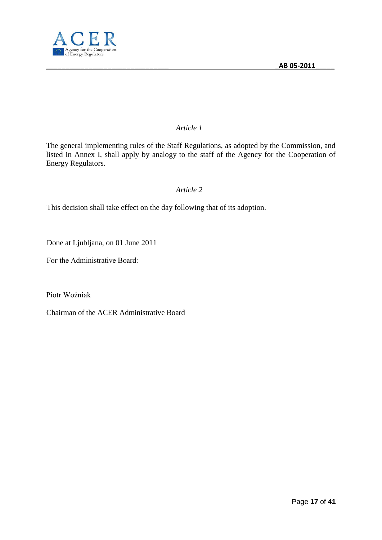

# *Article 1*

The general implementing rules of the Staff Regulations, as adopted by the Commission, and listed in Annex I, shall apply by analogy to the staff of the Agency for the Cooperation of Energy Regulators.

# *Article 2*

This decision shall take effect on the day following that of its adoption.

Done at Ljubljana, on 01 June 2011

Fог the Administrative Board:

Piotr Woźniak

Chairman of the ACER Administrative Board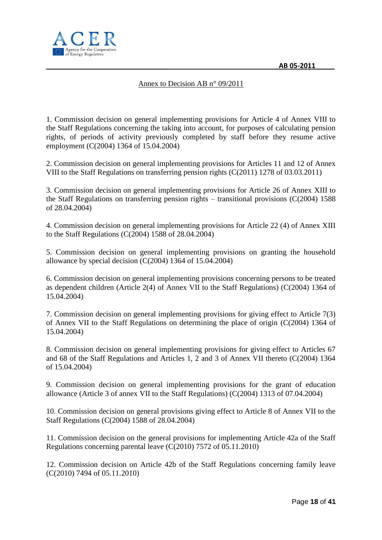

## Annex to Decision AB n° 09/2011

1. Commission decision on general implementing provisions for Article 4 of Annex VIII to the Staff Regulations concerning the taking into account, for purposes of calculating pension rights, of periods of activity previously completed by staff before they resume active employment (C(2004) 1364 of 15.04.2004)

2. Commission decision on general implementing provisions for Articles 11 and 12 of Annex VIII to the Staff Regulations on transferring pension rights (C(2011) 1278 of 03.03.2011)

3. Commission decision on general implementing provisions for Article 26 of Annex XIII to the Staff Regulations on transferring pension rights – transitional provisions (C(2004) 1588 of 28.04.2004)

4. Commission decision on general implementing provisions for Article 22 (4) of Annex XIII to the Staff Regulations (C(2004) 1588 of 28.04.2004)

5. Commission decision on general implementing provisions on granting the household allowance by special decision (C(2004) 1364 of 15.04.2004)

6. Commission decision on general implementing provisions concerning persons to be treated as dependent children (Article 2(4) of Annex VII to the Staff Regulations) (C(2004) 1364 of 15.04.2004)

7. Commission decision on general implementing provisions for giving effect to Article 7(3) of Annex VII to the Staff Regulations on determining the place of origin (C(2004) 1364 of 15.04.2004)

8. Commission decision on general implementing provisions for giving effect to Articles 67 and 68 of the Staff Regulations and Articles 1, 2 and 3 of Annex VII thereto (C(2004) 1364 of 15.04.2004)

9. Commission decision on general implementing provisions for the grant of education allowance (Article 3 of annex VII to the Staff Regulations) (C(2004) 1313 of 07.04.2004)

10. Commission decision on general provisions giving effect to Article 8 of Annex VII to the Staff Regulations (C(2004) 1588 of 28.04.2004)

11. Commission decision on the general provisions for implementing Article 42a of the Staff Regulations concerning parental leave (C(2010) 7572 of 05.11.2010)

12. Commission decision on Article 42b of the Staff Regulations concerning family leave (C(2010) 7494 of 05.11.2010)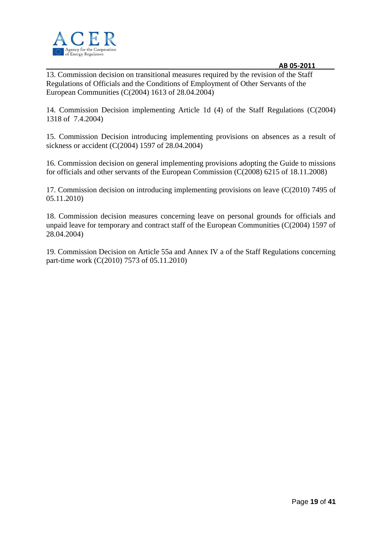

13. Commission decision on transitional measures required by the revision of the Staff Regulations of Officials and the Conditions of Employment of Other Servants of the European Communities (C(2004) 1613 of 28.04.2004)

14. Commission Decision implementing Article 1d (4) of the Staff Regulations (C(2004) 1318 of 7.4.2004)

15. Commission Decision introducing implementing provisions on absences as a result of sickness or accident (C(2004) 1597 of 28.04.2004)

16. Commission decision on general implementing provisions adopting the Guide to missions for officials and other servants of the European Commission (C(2008) 6215 of 18.11.2008)

17. Commission decision on introducing implementing provisions on leave (C(2010) 7495 of 05.11.2010)

18. Commission decision measures concerning leave on personal grounds for officials and unpaid leave for temporary and contract staff of the European Communities (C(2004) 1597 of 28.04.2004)

19. Commission Decision on Article 55a and Annex IV a of the Staff Regulations concerning part-time work (C(2010) 7573 of 05.11.2010)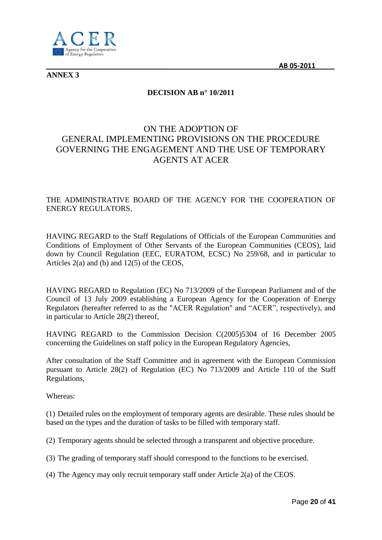

**ANNEX 3**

# **DECISION AB n° 10/2011**

# ON THE ADOPTION OF GENERAL IMPLEMENTING PROVISIONS ON THE PROCEDURE GOVERNING THE ENGAGEMENT AND THE USE OF TEMPORARY AGENTS AT ACER

## THE ADMINISTRATIVE BOARD OF THE AGENCY FOR THE COOPERATION OF ENERGY REGULATORS,

HAVING REGARD to the Staff Regulations of Officials of the European Communities and Conditions of Employment of Other Servants of the European Communities (CEOS), laid down by Council Regulation (EEC, EURATOM, ECSC) No 259/68, and in particular to Articles 2(a) and (b) and 12(5) of the CEOS,

HAVING REGARD to Regulation (EC) No 713/2009 of the European Parliament and of the Council of 13 July 2009 establishing a European Agency for the Cooperation of Energy Regulators (hereafter referred to as the "ACER Regulation" and "ACER", respectively), and in particular to Article 28(2) thereof,

HAVING REGARD to the Commission Decision C(2005)5304 of 16 December 2005 concerning the Guidelines on staff policy in the European Regulatory Agencies,

After consultation of the Staff Committee and in agreement with the European Commission pursuant to Article 28(2) of Regulation (EC) No 713/2009 and Article 110 of the Staff Regulations,

Whereas:

(1) Detailed rules on the employment of temporary agents are desirable. These rules should be based on the types and the duration of tasks to be filled with temporary staff.

(2) Temporary agents should be selected through a transparent and objective procedure.

(3) The grading of temporary staff should correspond to the functions to be exercised.

(4) The Agency may only recruit temporary staff under Article 2(a) of the CEOS.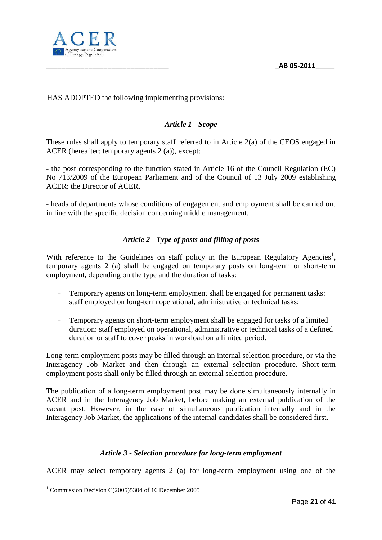

# HAS ADOPTED the following implementing provisions:

# *Article 1 - Scope*

These rules shall apply to temporary staff referred to in Article 2(a) of the CEOS engaged in ACER (hereafter: temporary agents 2 (a)), except:

- the post corresponding to the function stated in Article 16 of the Council Regulation (EC) No 713/2009 of the European Parliament and of the Council of 13 July 2009 establishing ACER: the Director of ACER.

- heads of departments whose conditions of engagement and employment shall be carried out in line with the specific decision concerning middle management.

# *Article 2 - Type of posts and filling of posts*

With reference to the Guidelines on staff policy in the European Regulatory Agencies<sup>1</sup>, temporary agents 2 (a) shall be engaged on temporary posts on long-term or short-term employment, depending on the type and the duration of tasks:

- Temporary agents on long-term employment shall be engaged for permanent tasks: staff employed on long-term operational, administrative or technical tasks;
- Temporary agents on short-term employment shall be engaged for tasks of a limited duration: staff employed on operational, administrative or technical tasks of a defined duration or staff to cover peaks in workload on a limited period.

Long-term employment posts may be filled through an internal selection procedure, or via the Interagency Job Market and then through an external selection procedure. Short-term employment posts shall only be filled through an external selection procedure.

The publication of a long-term employment post may be done simultaneously internally in ACER and in the Interagency Job Market, before making an external publication of the vacant post. However, in the case of simultaneous publication internally and in the Interagency Job Market, the applications of the internal candidates shall be considered first.

#### *Article 3 - Selection procedure for long-term employment*

ACER may select temporary agents 2 (a) for long-term employment using one of the

-

<sup>&</sup>lt;sup>1</sup> Commission Decision C(2005)5304 of 16 December 2005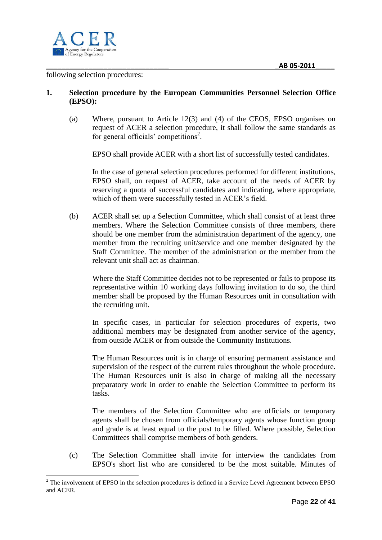

#### following selection procedures:

#### **1. Selection procedure by the European Communities Personnel Selection Office (EPSO):**

(a) Where, pursuant to Article 12(3) and (4) of the CEOS, EPSO organises on request of ACER a selection procedure, it shall follow the same standards as for general officials' competitions<sup>2</sup>.

EPSO shall provide ACER with a short list of successfully tested candidates.

In the case of general selection procedures performed for different institutions, EPSO shall, on request of ACER, take account of the needs of ACER by reserving a quota of successful candidates and indicating, where appropriate, which of them were successfully tested in ACER's field.

(b) ACER shall set up a Selection Committee, which shall consist of at least three members. Where the Selection Committee consists of three members, there should be one member from the administration department of the agency, one member from the recruiting unit/service and one member designated by the Staff Committee. The member of the administration or the member from the relevant unit shall act as chairman.

Where the Staff Committee decides not to be represented or fails to propose its representative within 10 working days following invitation to do so, the third member shall be proposed by the Human Resources unit in consultation with the recruiting unit.

In specific cases, in particular for selection procedures of experts, two additional members may be designated from another service of the agency, from outside ACER or from outside the Community Institutions.

The Human Resources unit is in charge of ensuring permanent assistance and supervision of the respect of the current rules throughout the whole procedure. The Human Resources unit is also in charge of making all the necessary preparatory work in order to enable the Selection Committee to perform its tasks.

The members of the Selection Committee who are officials or temporary agents shall be chosen from officials/temporary agents whose function group and grade is at least equal to the post to be filled. Where possible, Selection Committees shall comprise members of both genders.

(c) The Selection Committee shall invite for interview the candidates from EPSO's short list who are considered to be the most suitable. Minutes of

<sup>-</sup> $2$  The involvement of EPSO in the selection procedures is defined in a Service Level Agreement between EPSO and ACER.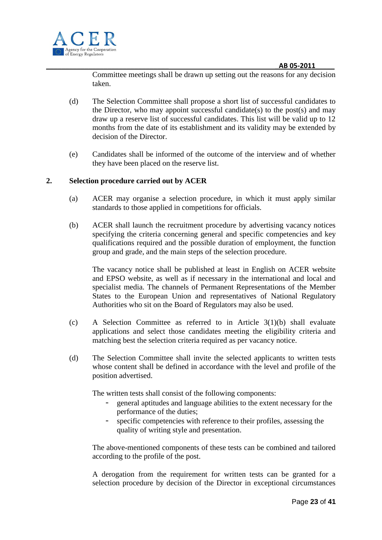

Committee meetings shall be drawn up setting out the reasons for any decision taken.

- (d) The Selection Committee shall propose a short list of successful candidates to the Director, who may appoint successful candidate(s) to the post(s) and may draw up a reserve list of successful candidates. This list will be valid up to 12 months from the date of its establishment and its validity may be extended by decision of the Director.
- (e) Candidates shall be informed of the outcome of the interview and of whether they have been placed on the reserve list.

#### **2. Selection procedure carried out by ACER**

- (a) ACER may organise a selection procedure, in which it must apply similar standards to those applied in competitions for officials.
- (b) ACER shall launch the recruitment procedure by advertising vacancy notices specifying the criteria concerning general and specific competencies and key qualifications required and the possible duration of employment, the function group and grade, and the main steps of the selection procedure.

The vacancy notice shall be published at least in English on ACER website and EPSO website, as well as if necessary in the international and local and specialist media. The channels of Permanent Representations of the Member States to the European Union and representatives of National Regulatory Authorities who sit on the Board of Regulators may also be used.

- (c) A Selection Committee as referred to in Article 3(1)(b) shall evaluate applications and select those candidates meeting the eligibility criteria and matching best the selection criteria required as per vacancy notice.
- (d) The Selection Committee shall invite the selected applicants to written tests whose content shall be defined in accordance with the level and profile of the position advertised.

The written tests shall consist of the following components:

- general aptitudes and language abilities to the extent necessary for the performance of the duties;
- specific competencies with reference to their profiles, assessing the quality of writing style and presentation.

The above-mentioned components of these tests can be combined and tailored according to the profile of the post.

A derogation from the requirement for written tests can be granted for a selection procedure by decision of the Director in exceptional circumstances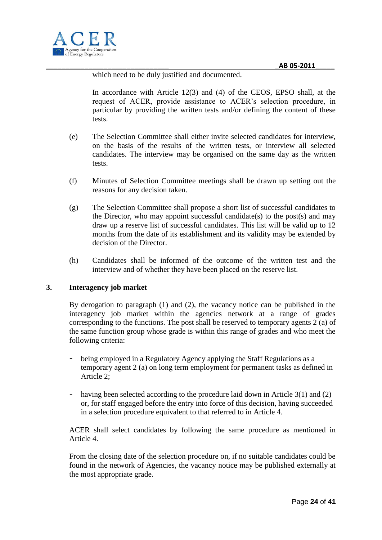

which need to be duly justified and documented.

In accordance with Article 12(3) and (4) of the CEOS, EPSO shall, at the request of ACER, provide assistance to ACER's selection procedure, in particular by providing the written tests and/or defining the content of these tests.

- (e) The Selection Committee shall either invite selected candidates for interview, on the basis of the results of the written tests, or interview all selected candidates. The interview may be organised on the same day as the written tests.
- (f) Minutes of Selection Committee meetings shall be drawn up setting out the reasons for any decision taken.
- (g) The Selection Committee shall propose a short list of successful candidates to the Director, who may appoint successful candidate(s) to the post(s) and may draw up a reserve list of successful candidates. This list will be valid up to 12 months from the date of its establishment and its validity may be extended by decision of the Director.
- (h) Candidates shall be informed of the outcome of the written test and the interview and of whether they have been placed on the reserve list.

#### **3. Interagency job market**

By derogation to paragraph (1) and (2), the vacancy notice can be published in the interagency job market within the agencies network at a range of grades corresponding to the functions. The post shall be reserved to temporary agents 2 (a) of the same function group whose grade is within this range of grades and who meet the following criteria:

- being employed in a Regulatory Agency applying the Staff Regulations as a temporary agent 2 (a) on long term employment for permanent tasks as defined in Article 2;
- having been selected according to the procedure laid down in Article 3(1) and (2) or, for staff engaged before the entry into force of this decision, having succeeded in a selection procedure equivalent to that referred to in Article 4.

ACER shall select candidates by following the same procedure as mentioned in Article 4.

From the closing date of the selection procedure on, if no suitable candidates could be found in the network of Agencies, the vacancy notice may be published externally at the most appropriate grade.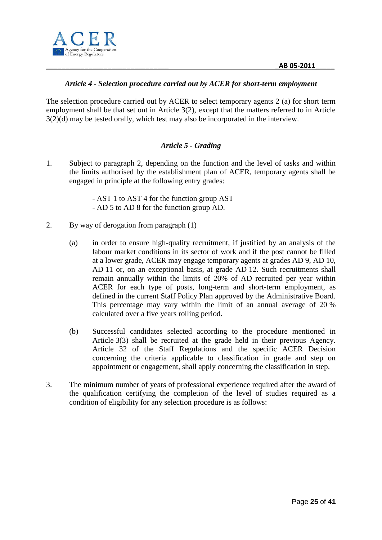

#### *Article 4 - Selection procedure carried out by ACER for short-term employment*

The selection procedure carried out by ACER to select temporary agents 2 (a) for short term employment shall be that set out in Article 3(2), except that the matters referred to in Article 3(2)(d) may be tested orally, which test may also be incorporated in the interview.

### *Article 5 - Grading*

- 1. Subject to paragraph 2, depending on the function and the level of tasks and within the limits authorised by the establishment plan of ACER, temporary agents shall be engaged in principle at the following entry grades:
	- AST 1 to AST 4 for the function group AST - AD 5 to AD 8 for the function group AD.
- 2. By way of derogation from paragraph (1)
	- (a) in order to ensure high-quality recruitment, if justified by an analysis of the labour market conditions in its sector of work and if the post cannot be filled at a lower grade, ACER may engage temporary agents at grades AD 9, AD 10, AD 11 or, on an exceptional basis, at grade AD 12. Such recruitments shall remain annually within the limits of 20% of AD recruited per year within ACER for each type of posts, long-term and short-term employment, as defined in the current Staff Policy Plan approved by the Administrative Board. This percentage may vary within the limit of an annual average of 20 % calculated over a five years rolling period.
	- (b) Successful candidates selected according to the procedure mentioned in Article 3(3) shall be recruited at the grade held in their previous Agency. Article 32 of the Staff Regulations and the specific ACER Decision concerning the criteria applicable to classification in grade and step on appointment or engagement, shall apply concerning the classification in step.
- 3. The minimum number of years of professional experience required after the award of the qualification certifying the completion of the level of studies required as a condition of eligibility for any selection procedure is as follows: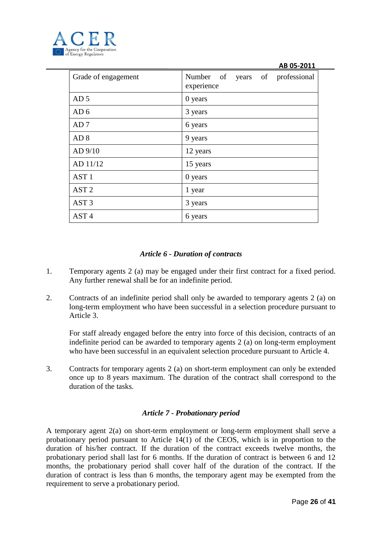

| Grade of engagement | Number of years of professional<br>experience |
|---------------------|-----------------------------------------------|
| AD <sub>5</sub>     | 0 years                                       |
| AD <sub>6</sub>     | 3 years                                       |
| AD <sub>7</sub>     | 6 years                                       |
| AD <sub>8</sub>     | 9 years                                       |
| AD 9/10             | 12 years                                      |
| AD 11/12            | 15 years                                      |
| AST <sub>1</sub>    | 0 years                                       |
| AST <sub>2</sub>    | 1 year                                        |
| AST <sub>3</sub>    | 3 years                                       |
| AST <sub>4</sub>    | 6 years                                       |

### *Article 6 - Duration of contracts*

- 1. Temporary agents 2 (a) may be engaged under their first contract for a fixed period. Any further renewal shall be for an indefinite period.
- 2. Contracts of an indefinite period shall only be awarded to temporary agents 2 (a) on long-term employment who have been successful in a selection procedure pursuant to Article 3.

For staff already engaged before the entry into force of this decision, contracts of an indefinite period can be awarded to temporary agents 2 (a) on long-term employment who have been successful in an equivalent selection procedure pursuant to Article 4.

3. Contracts for temporary agents 2 (a) on short-term employment can only be extended once up to 8 years maximum. The duration of the contract shall correspond to the duration of the tasks.

### *Article 7 - Probationary period*

A temporary agent 2(a) on short-term employment or long-term employment shall serve a probationary period pursuant to Article 14(1) of the CEOS, which is in proportion to the duration of his/her contract. If the duration of the contract exceeds twelve months, the probationary period shall last for 6 months. If the duration of contract is between 6 and 12 months, the probationary period shall cover half of the duration of the contract. If the duration of contract is less than 6 months, the temporary agent may be exempted from the requirement to serve a probationary period.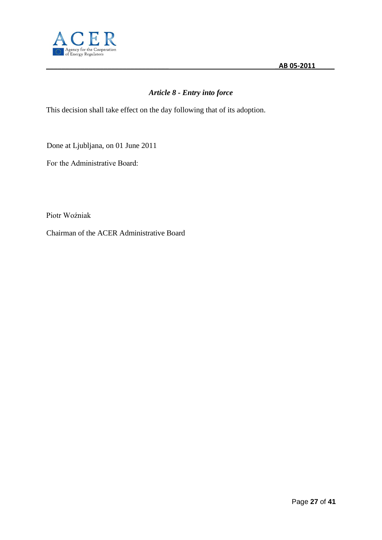

# *Article 8 - Entry into force*

This decision shall take effect on the day following that of its adoption.

Done at Ljubljana, on 01 June 2011

Fог the Administrative Board:

Piotr Woźniak

Chairman of the ACER Administrative Board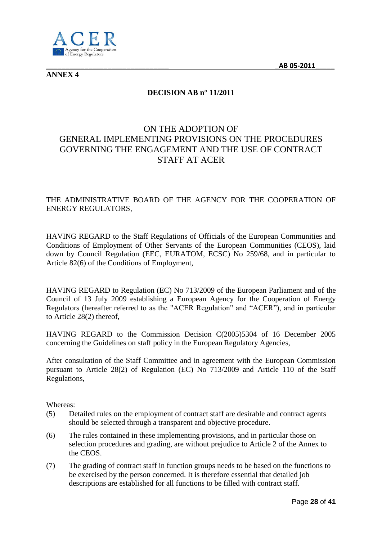

**ANNEX 4**

# **DECISION AB n° 11/2011**

# ON THE ADOPTION OF GENERAL IMPLEMENTING PROVISIONS ON THE PROCEDURES GOVERNING THE ENGAGEMENT AND THE USE OF CONTRACT STAFF AT ACER

## THE ADMINISTRATIVE BOARD OF THE AGENCY FOR THE COOPERATION OF ENERGY REGULATORS,

HAVING REGARD to the Staff Regulations of Officials of the European Communities and Conditions of Employment of Other Servants of the European Communities (CEOS), laid down by Council Regulation (EEC, EURATOM, ECSC) No 259/68, and in particular to Article 82(6) of the Conditions of Employment,

HAVING REGARD to Regulation (EC) No 713/2009 of the European Parliament and of the Council of 13 July 2009 establishing a European Agency for the Cooperation of Energy Regulators (hereafter referred to as the "ACER Regulation" and "ACER"), and in particular to Article 28(2) thereof,

HAVING REGARD to the Commission Decision C(2005)5304 of 16 December 2005 concerning the Guidelines on staff policy in the European Regulatory Agencies,

After consultation of the Staff Committee and in agreement with the European Commission pursuant to Article 28(2) of Regulation (EC) No 713/2009 and Article 110 of the Staff Regulations,

Whereas:

- (5) Detailed rules on the employment of contract staff are desirable and contract agents should be selected through a transparent and objective procedure.
- (6) The rules contained in these implementing provisions, and in particular those on selection procedures and grading, are without prejudice to Article 2 of the Annex to the CEOS.
- (7) The grading of contract staff in function groups needs to be based on the functions to be exercised by the person concerned. It is therefore essential that detailed job descriptions are established for all functions to be filled with contract staff.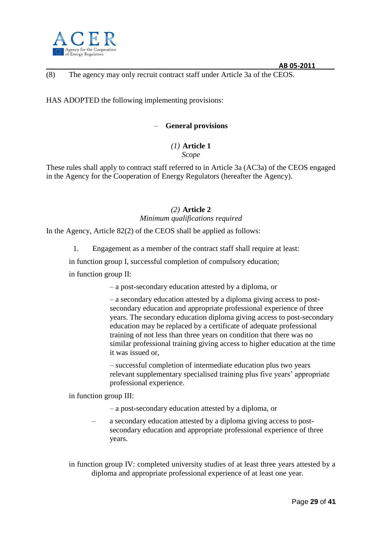

## (8) The agency may only recruit contract staff under Article 3a of the CEOS.

HAS ADOPTED the following implementing provisions:

### – **General provisions**

#### *(1)* **Article 1** *Scope*

These rules shall apply to contract staff referred to in Article 3a (AC3a) of the CEOS engaged in the Agency for the Cooperation of Energy Regulators (hereafter the Agency).

# *(2)* **Article 2** *Minimum qualifications required*

In the Agency, Article 82(2) of the CEOS shall be applied as follows:

1. Engagement as a member of the contract staff shall require at least:

in function group I, successful completion of compulsory education;

in function group II:

– a post-secondary education attested by a diploma, or

– a secondary education attested by a diploma giving access to postsecondary education and appropriate professional experience of three years. The secondary education diploma giving access to post-secondary education may be replaced by a certificate of adequate professional training of not less than three years on condition that there was no similar professional training giving access to higher education at the time it was issued or,

– successful completion of intermediate education plus two years relevant supplementary specialised training plus five years' appropriate professional experience.

in function group III:

- a post-secondary education attested by a diploma, or
- a secondary education attested by a diploma giving access to postsecondary education and appropriate professional experience of three years.

in function group IV: completed university studies of at least three years attested by a diploma and appropriate professional experience of at least one year.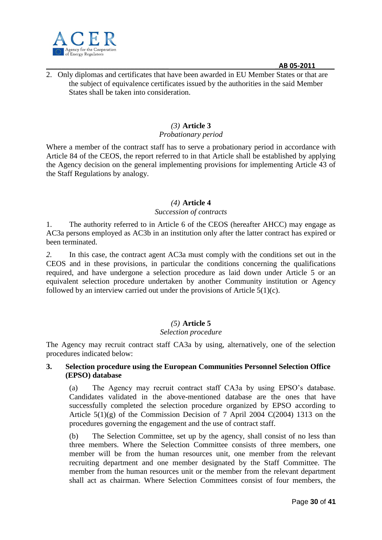

2. Only diplomas and certificates that have been awarded in EU Member States or that are the subject of equivalence certificates issued by the authorities in the said Member States shall be taken into consideration.

### *(3)* **Article 3**

## *Probationary period*

Where a member of the contract staff has to serve a probationary period in accordance with Article 84 of the CEOS, the report referred to in that Article shall be established by applying the Agency decision on the general implementing provisions for implementing Article 43 of the Staff Regulations by analogy.

#### *(4)* **Article 4**

#### *Succession of contracts*

1. The authority referred to in Article 6 of the CEOS (hereafter AHCC) may engage as AC3a persons employed as AC3b in an institution only after the latter contract has expired or been terminated.

*2.* In this case, the contract agent AC3a must comply with the conditions set out in the CEOS and in these provisions, in particular the conditions concerning the qualifications required, and have undergone a selection procedure as laid down under Article 5 or an equivalent selection procedure undertaken by another Community institution or Agency followed by an interview carried out under the provisions of Article 5(1)(c).

#### *(5)* **Article 5**

#### *Selection procedure*

The Agency may recruit contract staff CA3a by using, alternatively, one of the selection procedures indicated below:

#### **3. Selection procedure using the European Communities Personnel Selection Office (EPSO) database**

(a) The Agency may recruit contract staff CA3a by using EPSO's database. Candidates validated in the above-mentioned database are the ones that have successfully completed the selection procedure organized by EPSO according to Article  $5(1)(g)$  of the Commission Decision of 7 April 2004 C(2004) 1313 on the procedures governing the engagement and the use of contract staff.

(b) The Selection Committee, set up by the agency, shall consist of no less than three members. Where the Selection Committee consists of three members, one member will be from the human resources unit, one member from the relevant recruiting department and one member designated by the Staff Committee. The member from the human resources unit or the member from the relevant department shall act as chairman. Where Selection Committees consist of four members, the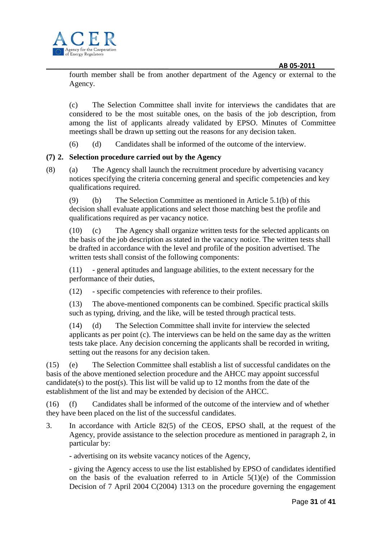

fourth member shall be from another department of the Agency or external to the Agency.

(c) The Selection Committee shall invite for interviews the candidates that are considered to be the most suitable ones, on the basis of the job description, from among the list of applicants already validated by EPSO. Minutes of Committee meetings shall be drawn up setting out the reasons for any decision taken.

(6) (d) Candidates shall be informed of the outcome of the interview.

# **(7) 2. Selection procedure carried out by the Agency**

(8) (a) The Agency shall launch the recruitment procedure by advertising vacancy notices specifying the criteria concerning general and specific competencies and key qualifications required.

(9) (b) The Selection Committee as mentioned in Article 5.1(b) of this decision shall evaluate applications and select those matching best the profile and qualifications required as per vacancy notice.

(10) (c) The Agency shall organize written tests for the selected applicants on the basis of the job description as stated in the vacancy notice. The written tests shall be drafted in accordance with the level and profile of the position advertised. The written tests shall consist of the following components:

(11) - general aptitudes and language abilities, to the extent necessary for the performance of their duties,

(12) - specific competencies with reference to their profiles.

(13) The above-mentioned components can be combined. Specific practical skills such as typing, driving, and the like, will be tested through practical tests.

(14) (d) The Selection Committee shall invite for interview the selected applicants as per point (c). The interviews can be held on the same day as the written tests take place. Any decision concerning the applicants shall be recorded in writing, setting out the reasons for any decision taken.

(15) (e) The Selection Committee shall establish a list of successful candidates on the basis of the above mentioned selection procedure and the AHCC may appoint successful candidate(s) to the post(s). This list will be valid up to 12 months from the date of the establishment of the list and may be extended by decision of the AHCC.

(16) (f) Candidates shall be informed of the outcome of the interview and of whether they have been placed on the list of the successful candidates.

3. In accordance with Article 82(5) of the CEOS, EPSO shall, at the request of the Agency, provide assistance to the selection procedure as mentioned in paragraph 2, in particular by:

- advertising on its website vacancy notices of the Agency,

- giving the Agency access to use the list established by EPSO of candidates identified on the basis of the evaluation referred to in Article  $5(1)(e)$  of the Commission Decision of 7 April 2004 C(2004) 1313 on the procedure governing the engagement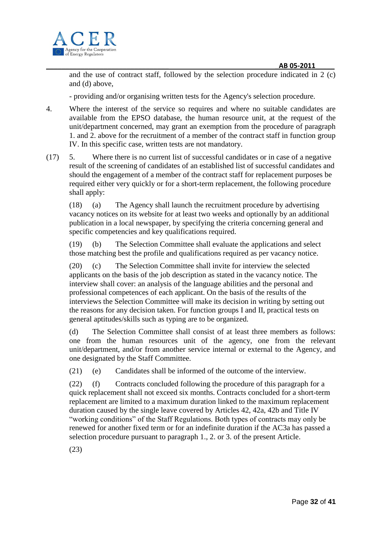

and the use of contract staff, followed by the selection procedure indicated in 2 (c) and (d) above,

- providing and/or organising written tests for the Agency's selection procedure.

- 4. Where the interest of the service so requires and where no suitable candidates are available from the EPSO database, the human resource unit, at the request of the unit/department concerned, may grant an exemption from the procedure of paragraph 1. and 2. above for the recruitment of a member of the contract staff in function group IV. In this specific case, written tests are not mandatory.
- (17) 5. Where there is no current list of successful candidates or in case of a negative result of the screening of candidates of an established list of successful candidates and should the engagement of a member of the contract staff for replacement purposes be required either very quickly or for a short-term replacement, the following procedure shall apply:

(18) (a) The Agency shall launch the recruitment procedure by advertising vacancy notices on its website for at least two weeks and optionally by an additional publication in a local newspaper, by specifying the criteria concerning general and specific competencies and key qualifications required.

(19) (b) The Selection Committee shall evaluate the applications and select those matching best the profile and qualifications required as per vacancy notice.

(20) (c) The Selection Committee shall invite for interview the selected applicants on the basis of the job description as stated in the vacancy notice. The interview shall cover: an analysis of the language abilities and the personal and professional competences of each applicant. On the basis of the results of the interviews the Selection Committee will make its decision in writing by setting out the reasons for any decision taken. For function groups I and II, practical tests on general aptitudes/skills such as typing are to be organized.

(d) The Selection Committee shall consist of at least three members as follows: one from the human resources unit of the agency, one from the relevant unit/department, and/or from another service internal or external to the Agency, and one designated by the Staff Committee.

(21) (e) Candidates shall be informed of the outcome of the interview.

(22) (f) Contracts concluded following the procedure of this paragraph for a quick replacement shall not exceed six months. Contracts concluded for a short-term replacement are limited to a maximum duration linked to the maximum replacement duration caused by the single leave covered by Articles 42, 42a, 42b and Title IV "working conditions" of the Staff Regulations. Both types of contracts may only be renewed for another fixed term or for an indefinite duration if the AC3a has passed a selection procedure pursuant to paragraph 1., 2. or 3. of the present Article.

(23)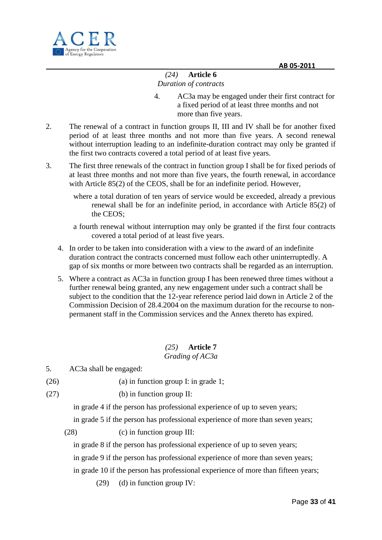

# *(24)* **Article 6** *Duration of contracts*

- 4. AC3a may be engaged under their first contract for a fixed period of at least three months and not more than five years.
- 2. The renewal of a contract in function groups II, III and IV shall be for another fixed period of at least three months and not more than five years. A second renewal without interruption leading to an indefinite-duration contract may only be granted if the first two contracts covered a total period of at least five years.
- 3. The first three renewals of the contract in function group I shall be for fixed periods of at least three months and not more than five years, the fourth renewal, in accordance with Article 85(2) of the CEOS, shall be for an indefinite period. However,
	- where a total duration of ten years of service would be exceeded, already a previous renewal shall be for an indefinite period, in accordance with Article 85(2) of the CEOS;
	- a fourth renewal without interruption may only be granted if the first four contracts covered a total period of at least five years.
	- 4. In order to be taken into consideration with a view to the award of an indefinite duration contract the contracts concerned must follow each other uninterruptedly. A gap of six months or more between two contracts shall be regarded as an interruption.
	- 5. Where a contract as AC3a in function group I has been renewed three times without a further renewal being granted, any new engagement under such a contract shall be subject to the condition that the 12-year reference period laid down in Article 2 of the Commission Decision of 28.4.2004 on the maximum duration for the recourse to nonpermanent staff in the Commission services and the Annex thereto has expired.

#### *(25)* **Article 7** *Grading of AC3a*

5. AC3a shall be engaged:

- (26) (a) in function group I: in grade 1;
- $(27)$  (b) in function group II:

in grade 4 if the person has professional experience of up to seven years;

in grade 5 if the person has professional experience of more than seven years;

(28) (c) in function group III:

in grade 8 if the person has professional experience of up to seven years;

in grade 9 if the person has professional experience of more than seven years;

in grade 10 if the person has professional experience of more than fifteen years;

(29) (d) in function group IV: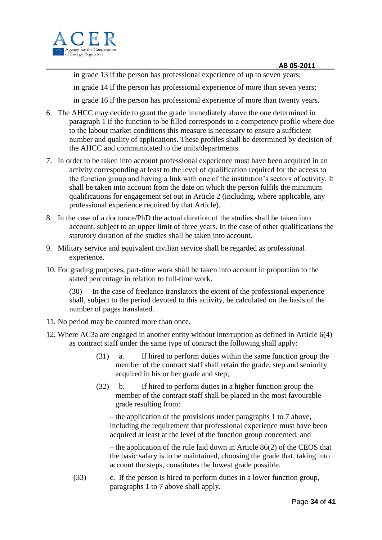in grade 13 if the person has professional experience of up to seven years;

in grade 14 if the person has professional experience of more than seven years;

in grade 16 if the person has professional experience of more than twenty years.

- 6. The AHCC may decide to grant the grade immediately above the one determined in paragraph 1 if the function to be filled corresponds to a competency profile where due to the labour market conditions this measure is necessary to ensure a sufficient number and quality of applications. These profiles shall be determined by decision of the AHCC and communicated to the units/departments.
- 7. In order to be taken into account professional experience must have been acquired in an activity corresponding at least to the level of qualification required for the access to the function group and having a link with one of the institution's sectors of activity. It shall be taken into account from the date on which the person fulfils the minimum qualifications for engagement set out in Article 2 (including, where applicable, any professional experience required by that Article).
- 8. In the case of a doctorate/PhD the actual duration of the studies shall be taken into account, subject to an upper limit of three years. In the case of other qualifications the statutory duration of the studies shall be taken into account.
- 9. Military service and equivalent civilian service shall be regarded as professional experience.
- 10. For grading purposes, part-time work shall be taken into account in proportion to the stated percentage in relation to full-time work.

(30) In the case of freelance translators the extent of the professional experience shall, subject to the period devoted to this activity, be calculated on the basis of the number of pages translated.

- 11. No period may be counted more than once.
- 12. Where AC3a are engaged in another entity without interruption as defined in Article 6(4) as contract staff under the same type of contract the following shall apply:
	- (31) a. If hired to perform duties within the same function group the member of the contract staff shall retain the grade, step and seniority acquired in his or her grade and step;
	- (32) b. If hired to perform duties in a higher function group the member of the contract staff shall be placed in the most favourable grade resulting from:

– the application of the provisions under paragraphs 1 to 7 above, including the requirement that professional experience must have been acquired at least at the level of the function group concerned, and

– the application of the rule laid down in Article 86(2) of the CEOS that the basic salary is to be maintained, choosing the grade that, taking into account the steps, constitutes the lowest grade possible.

(33) c. If the person is hired to perform duties in a lower function group, paragraphs 1 to 7 above shall apply.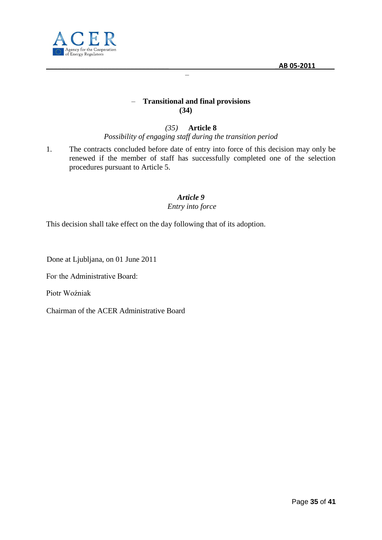

# – **Transitional and final provisions (34)**

–

*(35)* **Article 8** *Possibility of engaging staff during the transition period*

1. The contracts concluded before date of entry into force of this decision may only be renewed if the member of staff has successfully completed one of the selection procedures pursuant to Article 5.

#### *Article 9 Entry into force*

This decision shall take effect on the day following that of its adoption.

Done at Ljubljana, on 01 June 2011

Fог the Administrative Board:

Piotr Woźniak

Chairman of the ACER Administrative Board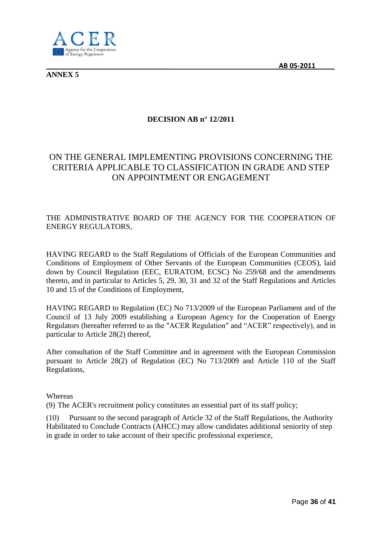

**ANNEX 5**

# **DECISION AB n° 12/2011**

# ON THE GENERAL IMPLEMENTING PROVISIONS CONCERNING THE CRITERIA APPLICABLE TO CLASSIFICATION IN GRADE AND STEP ON APPOINTMENT OR ENGAGEMENT

# THE ADMINISTRATIVE BOARD OF THE AGENCY FOR THE COOPERATION OF ENERGY REGULATORS,

HAVING REGARD to the Staff Regulations of Officials of the European Communities and Conditions of Employment of Other Servants of the European Communities (CEOS), laid down by Council Regulation (EEC, EURATOM, ECSC) No 259/68 and the amendments thereto, and in particular to Articles 5, 29, 30, 31 and 32 of the Staff Regulations and Articles 10 and 15 of the Conditions of Employment,

HAVING REGARD to Regulation (EC) No 713/2009 of the European Parliament and of the Council of 13 July 2009 establishing a European Agency for the Cooperation of Energy Regulators (hereafter referred to as the "ACER Regulation" and "ACER" respectively), and in particular to Article 28(2) thereof,

After consultation of the Staff Committee and in agreement with the European Commission pursuant to Article 28(2) of Regulation (EC) No 713/2009 and Article 110 of the Staff Regulations,

#### Whereas

(9) The ACER's recruitment policy constitutes an essential part of its staff policy;

(10) Pursuant to the second paragraph of Article 32 of the Staff Regulations, the Authority Habilitated to Conclude Contracts (AHCC) may allow candidates additional seniority of step in grade in order to take account of their specific professional experience,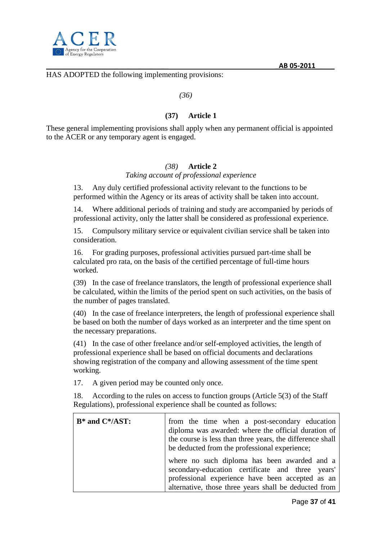

HAS ADOPTED the following implementing provisions:

*(36)*

#### **(37) Article 1**

These general implementing provisions shall apply when any permanent official is appointed to the ACER or any temporary agent is engaged.

#### *(38)* **Article 2**

*Taking account of professional experience*

13. Any duly certified professional activity relevant to the functions to be performed within the Agency or its areas of activity shall be taken into account.

14. Where additional periods of training and study are accompanied by periods of professional activity, only the latter shall be considered as professional experience.

15. Compulsory military service or equivalent civilian service shall be taken into consideration.

16. For grading purposes, professional activities pursued part-time shall be calculated pro rata, on the basis of the certified percentage of full-time hours worked.

(39) In the case of freelance translators, the length of professional experience shall be calculated, within the limits of the period spent on such activities, on the basis of the number of pages translated.

(40) In the case of freelance interpreters, the length of professional experience shall be based on both the number of days worked as an interpreter and the time spent on the necessary preparations.

(41) In the case of other freelance and/or self-employed activities, the length of professional experience shall be based on official documents and declarations showing registration of the company and allowing assessment of the time spent working.

17. A given period may be counted only once.

18. According to the rules on access to function groups (Article 5(3) of the Staff Regulations), professional experience shall be counted as follows:

| $B^*$ and $C^*/AST$ : | from the time when a post-secondary education<br>diploma was awarded: where the official duration of<br>the course is less than three years, the difference shall<br>be deducted from the professional experience;<br>where no such diploma has been awarded and a<br>secondary-education certificate and three years'<br>professional experience have been accepted as an<br>alternative, those three years shall be deducted from |  |
|-----------------------|-------------------------------------------------------------------------------------------------------------------------------------------------------------------------------------------------------------------------------------------------------------------------------------------------------------------------------------------------------------------------------------------------------------------------------------|--|
|                       |                                                                                                                                                                                                                                                                                                                                                                                                                                     |  |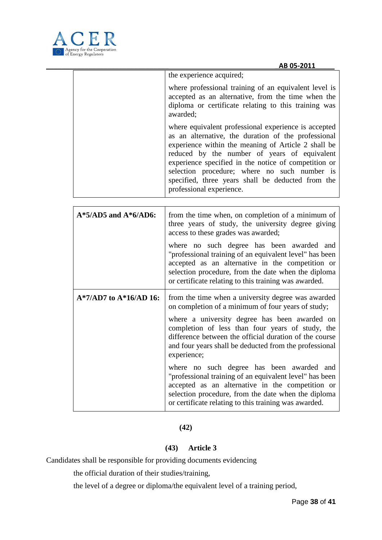

| the experience acquired;                                                                                                                                                                                                                                                                                                                                                                                    |
|-------------------------------------------------------------------------------------------------------------------------------------------------------------------------------------------------------------------------------------------------------------------------------------------------------------------------------------------------------------------------------------------------------------|
| where professional training of an equivalent level is<br>accepted as an alternative, from the time when the<br>diploma or certificate relating to this training was<br>awarded;                                                                                                                                                                                                                             |
| where equivalent professional experience is accepted<br>as an alternative, the duration of the professional<br>experience within the meaning of Article 2 shall be<br>reduced by the number of years of equivalent<br>experience specified in the notice of competition or<br>selection procedure; where no such number is<br>specified, three years shall be deducted from the<br>professional experience. |

| $A*5$ /AD5 and $A*6$ /AD6:  | from the time when, on completion of a minimum of<br>three years of study, the university degree giving<br>access to these grades was awarded;<br>where no such degree has been awarded and<br>"professional training of an equivalent level" has been<br>accepted as an alternative in the competition or<br>selection procedure, from the date when the diploma<br>or certificate relating to this training was awarded.                                                                                                                                                                                                   |
|-----------------------------|------------------------------------------------------------------------------------------------------------------------------------------------------------------------------------------------------------------------------------------------------------------------------------------------------------------------------------------------------------------------------------------------------------------------------------------------------------------------------------------------------------------------------------------------------------------------------------------------------------------------------|
| $A*7/AD7$ to $A*16/AD 16$ : | from the time when a university degree was awarded<br>on completion of a minimum of four years of study;<br>where a university degree has been awarded on<br>completion of less than four years of study, the<br>difference between the official duration of the course<br>and four years shall be deducted from the professional<br>experience;<br>where no such degree has been awarded and<br>"professional training of an equivalent level" has been<br>accepted as an alternative in the competition or<br>selection procedure, from the date when the diploma<br>or certificate relating to this training was awarded. |

# **(42)**

# **(43) Article 3**

Candidates shall be responsible for providing documents evidencing

the official duration of their studies/training,

the level of a degree or diploma/the equivalent level of a training period,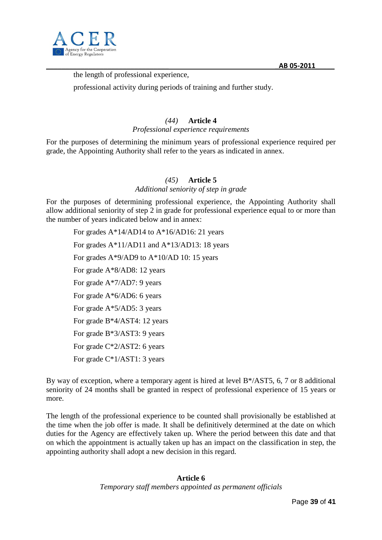

the length of professional experience,

professional activity during periods of training and further study.

## *(44)* **Article 4**

*Professional experience requirements*

For the purposes of determining the minimum years of professional experience required per grade, the Appointing Authority shall refer to the years as indicated in annex.

# *(45)* **Article 5**

#### *Additional seniority of step in grade*

For the purposes of determining professional experience, the Appointing Authority shall allow additional seniority of step 2 in grade for professional experience equal to or more than the number of years indicated below and in annex:

For grades A\*14/AD14 to A\*16/AD16: 21 years For grades A\*11/AD11 and A\*13/AD13: 18 years For grades A\*9/AD9 to A\*10/AD 10: 15 years For grade A\*8/AD8: 12 years For grade A\*7/AD7: 9 years For grade A\*6/AD6: 6 years For grade A\*5/AD5: 3 years For grade B\*4/AST4: 12 years For grade B\*3/AST3: 9 years For grade C\*2/AST2: 6 years For grade C\*1/AST1: 3 years

By way of exception, where a temporary agent is hired at level B\*/AST5, 6, 7 or 8 additional seniority of 24 months shall be granted in respect of professional experience of 15 years or more.

The length of the professional experience to be counted shall provisionally be established at the time when the job offer is made. It shall be definitively determined at the date on which duties for the Agency are effectively taken up. Where the period between this date and that on which the appointment is actually taken up has an impact on the classification in step, the appointing authority shall adopt a new decision in this regard.

#### **Article 6** *Temporary staff members appointed as permanent officials*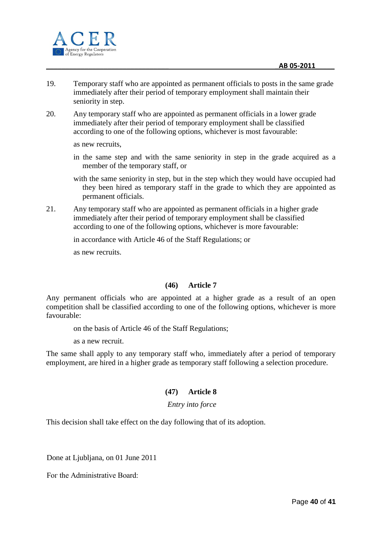

- 19. Temporary staff who are appointed as permanent officials to posts in the same grade immediately after their period of temporary employment shall maintain their seniority in step.
- 20. Any temporary staff who are appointed as permanent officials in a lower grade immediately after their period of temporary employment shall be classified according to one of the following options, whichever is most favourable:

as new recruits,

- in the same step and with the same seniority in step in the grade acquired as a member of the temporary staff, or
- with the same seniority in step, but in the step which they would have occupied had they been hired as temporary staff in the grade to which they are appointed as permanent officials.
- 21. Any temporary staff who are appointed as permanent officials in a higher grade immediately after their period of temporary employment shall be classified according to one of the following options, whichever is more favourable:

in accordance with Article 46 of the Staff Regulations; or

as new recruits.

### **(46) Article 7**

Any permanent officials who are appointed at a higher grade as a result of an open competition shall be classified according to one of the following options, whichever is more favourable:

on the basis of Article 46 of the Staff Regulations;

as a new recruit.

The same shall apply to any temporary staff who, immediately after a period of temporary employment, are hired in a higher grade as temporary staff following a selection procedure.

### **(47) Article 8**

#### *Entry into force*

This decision shall take effect on the day following that of its adoption.

Done at Ljubljana, on 01 June 2011

Fог the Administrative Board: